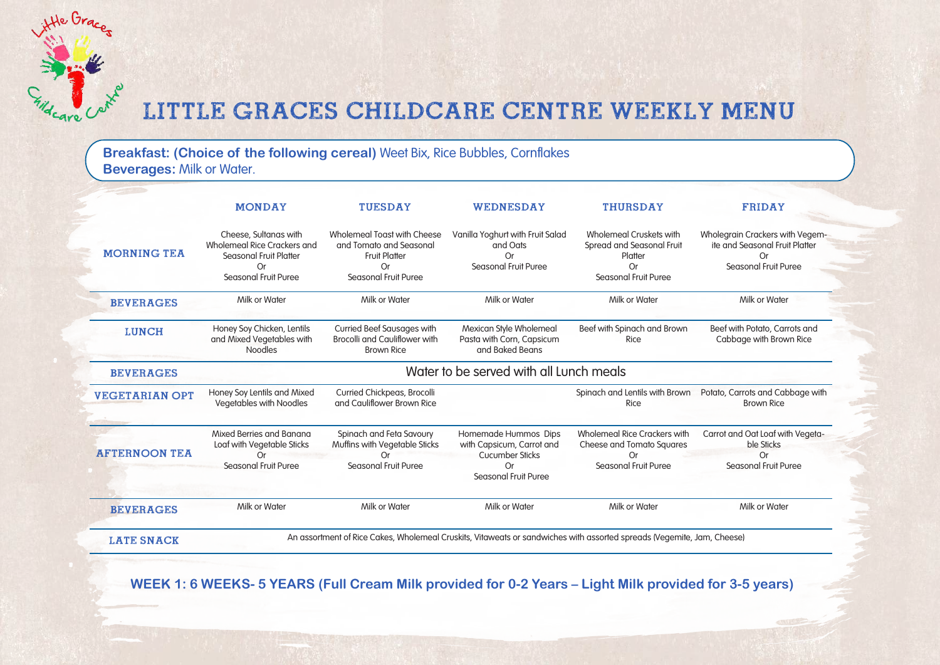**Breakfast: (Choice of the following cereal)** Weet Bix, Rice Bubbles, Cornflakes **Beverages:** Milk or Water.

He Grace.

care

|                       | <b>MONDAY</b>                                                                                                              | <b>TUESDAY</b>                                                                                                      | WEDNESDAY                                                                                                 | <b>THURSDAY</b>                                                                                       | <b>FRIDAY</b>                                                                                   |  |
|-----------------------|----------------------------------------------------------------------------------------------------------------------------|---------------------------------------------------------------------------------------------------------------------|-----------------------------------------------------------------------------------------------------------|-------------------------------------------------------------------------------------------------------|-------------------------------------------------------------------------------------------------|--|
| <b>MORNING TEA</b>    | Cheese, Sultanas with<br>Wholemeal Rice Crackers and<br><b>Seasonal Fruit Platter</b><br><b>Or</b><br>Seasonal Fruit Puree | Wholemeal Toast with Cheese<br>and Tomato and Seasonal<br><b>Fruit Platter</b><br>Or<br><b>Seasonal Fruit Puree</b> | Vanilla Yoghurt with Fruit Salad<br>and Oats<br>Or<br>Seasonal Fruit Puree                                | Wholemeal Cruskets with<br>Spread and Seasonal Fruit<br>Platter<br>Or.<br><b>Seasonal Fruit Puree</b> | Wholegrain Crackers with Vegem-<br>ite and Seasonal Fruit Platter<br>Or<br>Seasonal Fruit Puree |  |
| <b>BEVERAGES</b>      | Milk or Water                                                                                                              | Milk or Water                                                                                                       | Milk or Water                                                                                             | Milk or Water                                                                                         | Milk or Water                                                                                   |  |
| <b>LUNCH</b>          | Honey Soy Chicken, Lentils<br>and Mixed Vegetables with<br><b>Noodles</b>                                                  | <b>Curried Beef Sausages with</b><br><b>Brocolli and Cauliflower with</b><br><b>Brown Rice</b>                      | Mexican Style Wholemeal<br>Pasta with Corn, Capsicum<br>and Baked Beans                                   | Beef with Spinach and Brown<br>Rice                                                                   | Beef with Potato, Carrots and<br>Cabbage with Brown Rice                                        |  |
| <b>BEVERAGES</b>      | Water to be served with all Lunch meals                                                                                    |                                                                                                                     |                                                                                                           |                                                                                                       |                                                                                                 |  |
| <b>VEGETARIAN OPT</b> | Honey Soy Lentils and Mixed<br>Vegetables with Noodles                                                                     | Curried Chickpeas, Brocolli<br>and Cauliflower Brown Rice                                                           |                                                                                                           | Spinach and Lentils with Brown<br>Rice                                                                | Potato, Carrots and Cabbage with<br><b>Brown Rice</b>                                           |  |
| <b>AFTERNOON TEA</b>  | Mixed Berries and Banana<br>Loaf with Vegetable Sticks<br>Or<br>Seasonal Fruit Puree                                       | Spinach and Feta Savoury<br>Muffins with Vegetable Sticks<br>nr<br>Seasonal Fruit Puree                             | Homemade Hummos Dips<br>with Capsicum, Carrot and<br><b>Cucumber Sticks</b><br>Or<br>Seasonal Fruit Puree | <b>Wholemeal Rice Crackers with</b><br><b>Cheese and Tomato Squares</b><br>Ωr<br>Seasonal Fruit Puree | Carrot and Oat Loaf with Vegeta-<br>ble Sticks<br>Or<br>Seasonal Fruit Puree                    |  |
| <b>BEVERAGES</b>      | Milk or Water                                                                                                              | Milk or Water                                                                                                       | Milk or Water                                                                                             | Milk or Water                                                                                         | Milk or Water                                                                                   |  |

**WEEK 1: 6 WEEKS- 5 YEARS (Full Cream Milk provided for 0-2 Years – Light Milk provided for 3-5 years)**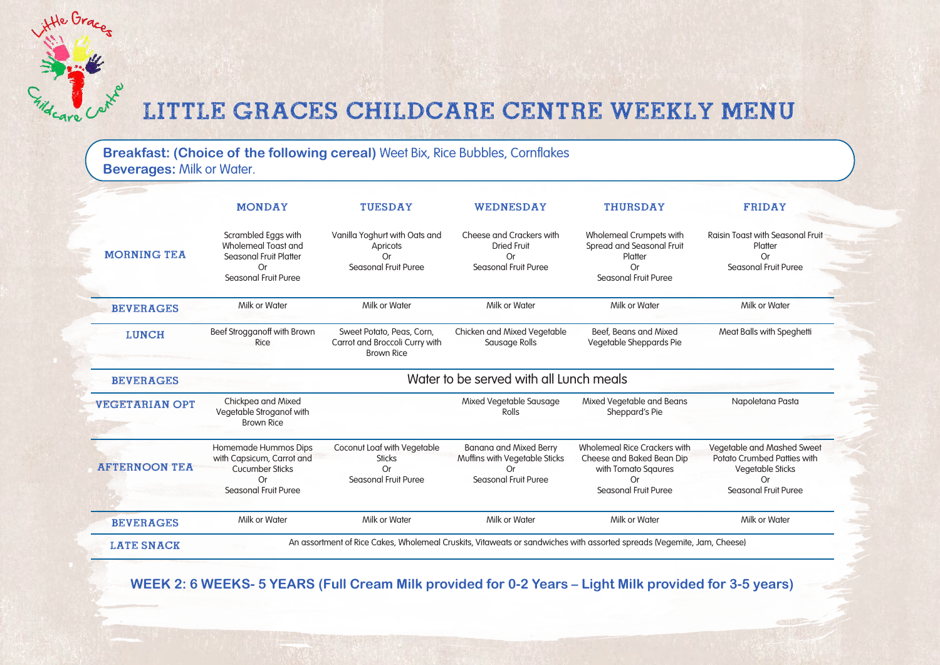**Breakfast: (Choice of the following cereal)** Weet Bix, Rice Bubbles, Cornflakes **Beverages:** Milk or Water.

Hte Grace

|                       | <b>MONDAY</b>                                                                                                    | <b>TUESDAY</b>                                                                    | WEDNESDAY                                                                                           | <b>THURSDAY</b>                                                                                                              | <b>FRIDAY</b>                                                                                                             |  |  |
|-----------------------|------------------------------------------------------------------------------------------------------------------|-----------------------------------------------------------------------------------|-----------------------------------------------------------------------------------------------------|------------------------------------------------------------------------------------------------------------------------------|---------------------------------------------------------------------------------------------------------------------------|--|--|
| <b>MORNING TEA</b>    | Scrambled Eggs with<br>Wholemeal Toast and<br>Seasonal Fruit Platter<br><b>Or</b><br>Seasonal Fruit Puree        | Vanilla Yoghurt with Oats and<br>Apricots<br>Or<br>Seasonal Fruit Puree           | Cheese and Crackers with<br><b>Dried Fruit</b><br>Or<br>Seasonal Fruit Puree                        | Wholemeal Crumpets with<br>Spread and Seasonal Fruit<br>Platter<br>Or<br>Seasonal Fruit Puree                                | <b>Raisin Toast with Seasonal Fruit</b><br>Platter<br>0r<br>Seasonal Fruit Puree                                          |  |  |
| <b>BEVERAGES</b>      | Milk or Water                                                                                                    | Milk or Water                                                                     | Milk or Water                                                                                       | Milk or Water                                                                                                                | Milk or Water                                                                                                             |  |  |
| <b>LUNCH</b>          | Beef Strogganoff with Brown<br>Rice                                                                              | Sweet Potato, Peas, Corn,<br>Carrot and Broccoli Curry with<br><b>Brown Rice</b>  | Chicken and Mixed Vegetable<br>Sausage Rolls                                                        | Beef, Beans and Mixed<br>Vegetable Sheppards Pie                                                                             | Meat Balls with Speghetti                                                                                                 |  |  |
| <b>BEVERAGES</b>      | Water to be served with all Lunch meals                                                                          |                                                                                   |                                                                                                     |                                                                                                                              |                                                                                                                           |  |  |
| <b>VEGETARIAN OPT</b> | Chickpea and Mixed<br>Vegetable Stroganof with<br><b>Brown Rice</b>                                              |                                                                                   | Mixed Vegetable Sausage<br><b>Rolls</b>                                                             | Mixed Vegetable and Beans<br>Sheppard's Pie                                                                                  | Napoletana Pasta                                                                                                          |  |  |
| <b>AFTERNOON TEA</b>  | Homemade Hummos Dips<br>with Capsicum, Carrot and<br>Cucumber Sticks<br><b>Or</b><br><b>Seasonal Fruit Puree</b> | Coconut Loaf with Vegetable<br><b>Sticks</b><br>Or<br><b>Seasonal Fruit Puree</b> | <b>Banana and Mixed Berry</b><br>Muffins with Vegetable Sticks<br><b>Or</b><br>Seasonal Fruit Puree | <b>Wholemeal Rice Crackers with</b><br>Cheese and Baked Bean Dip<br>with Tomato Sqaures<br><b>Or</b><br>Seasonal Fruit Puree | Vegetable and Mashed Sweet<br>Potato Crumbed Patties with<br>Vegetable Sticks<br><b>Or</b><br><b>Seasonal Fruit Puree</b> |  |  |
|                       |                                                                                                                  | Milk or Water                                                                     | Milk or Water                                                                                       | Milk or Water                                                                                                                | Milk or Water                                                                                                             |  |  |

**WEEK 2: 6 WEEKS- 5 YEARS (Full Cream Milk provided for 0-2 Years – Light Milk provided for 3-5 years)**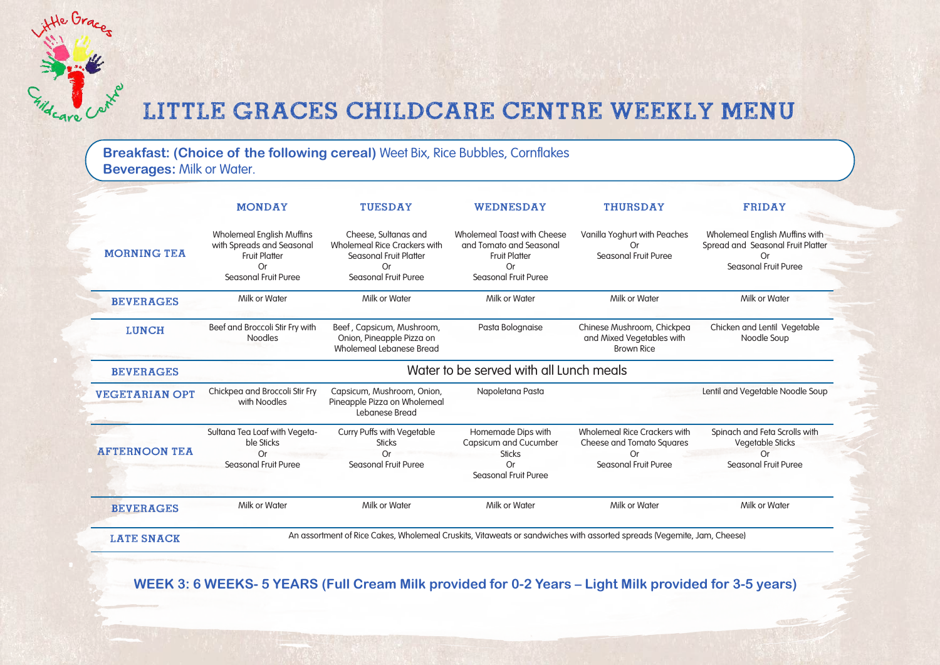**Breakfast: (Choice of the following cereal)** Weet Bix, Rice Bubbles, Cornflakes **Beverages:** Milk or Water.

Hte Grace

care

|                       | <b>MONDAY</b>                                                                                                       | <b>TUESDAY</b>                                                                                                         | WEDNESDAY                                                                                                    | <b>THURSDAY</b>                                                                                | <b>FRIDAY</b>                                                                                     |  |
|-----------------------|---------------------------------------------------------------------------------------------------------------------|------------------------------------------------------------------------------------------------------------------------|--------------------------------------------------------------------------------------------------------------|------------------------------------------------------------------------------------------------|---------------------------------------------------------------------------------------------------|--|
| <b>MORNING TEA</b>    | <b>Wholemeal English Muffins</b><br>with Spreads and Seasonal<br><b>Fruit Platter</b><br>Or<br>Seasonal Fruit Puree | Cheese, Sultanas and<br>Wholemeal Rice Crackers with<br><b>Seasonal Fruit Platter</b><br>Or<br>Seasonal Fruit Puree    | Wholemeal Toast with Cheese<br>and Tomato and Seasonal<br><b>Fruit Platter</b><br>Or<br>Seasonal Fruit Puree | Vanilla Yoghurt with Peaches<br>0r<br>Seasonal Fruit Puree                                     | Wholemeal English Muffins with<br>Spread and Seasonal Fruit Platter<br>Оr<br>Seasonal Fruit Puree |  |
| <b>BEVERAGES</b>      | Milk or Water                                                                                                       | Milk or Water                                                                                                          | Milk or Water                                                                                                | Milk or Water                                                                                  | Milk or Water                                                                                     |  |
| <b>LUNCH</b>          | Beef and Broccoli Stir Fry with<br><b>Noodles</b>                                                                   | Beef, Capsicum, Mushroom,<br>Onion, Pineapple Pizza on<br>Wholemeal Lebanese Bread                                     | Pasta Bolognaise                                                                                             | Chinese Mushroom, Chickpea<br>and Mixed Vegetables with<br><b>Brown Rice</b>                   | Chicken and Lentil Vegetable<br>Noodle Soup                                                       |  |
| <b>BEVERAGES</b>      | Water to be served with all Lunch meals                                                                             |                                                                                                                        |                                                                                                              |                                                                                                |                                                                                                   |  |
| <b>VEGETARIAN OPT</b> | Chickpea and Broccoli Stir Fry<br>with Noodles                                                                      | Capsicum, Mushroom, Onion,<br>Pineapple Pizza on Wholemeal<br>Lebanese Bread                                           | Napoletana Pasta                                                                                             |                                                                                                | Lentil and Vegetable Noodle Soup                                                                  |  |
| <b>AFTERNOON TEA</b>  | Sultana Tea Loaf with Vegeta-<br>ble Sticks<br><b>Or</b><br>Seasonal Fruit Puree                                    | Curry Puffs with Vegetable<br><b>Sticks</b><br>Or<br>Seasonal Fruit Puree                                              | Homemade Dips with<br>Capsicum and Cucumber<br><b>Sticks</b><br><b>Or</b><br><b>Seasonal Fruit Puree</b>     | Wholemeal Rice Crackers with<br>Cheese and Tomato Squares<br><b>Or</b><br>Seasonal Fruit Puree | Spinach and Feta Scrolls with<br>Vegetable Sticks<br><b>Or</b><br>Seasonal Fruit Puree            |  |
| <b>BEVERAGES</b>      | Milk or Water                                                                                                       | Milk or Water                                                                                                          | Milk or Water                                                                                                | Milk or Water                                                                                  | Milk or Water                                                                                     |  |
| <b>LATE SNACK</b>     |                                                                                                                     | An assortment of Rice Cakes, Wholemeal Cruskits, Vitaweats or sandwiches with assorted spreads (Vegemite, Jam, Cheese) |                                                                                                              |                                                                                                |                                                                                                   |  |

 **WEEK 3: 6 WEEKS- 5 YEARS (Full Cream Milk provided for 0-2 Years – Light Milk provided for 3-5 years)**